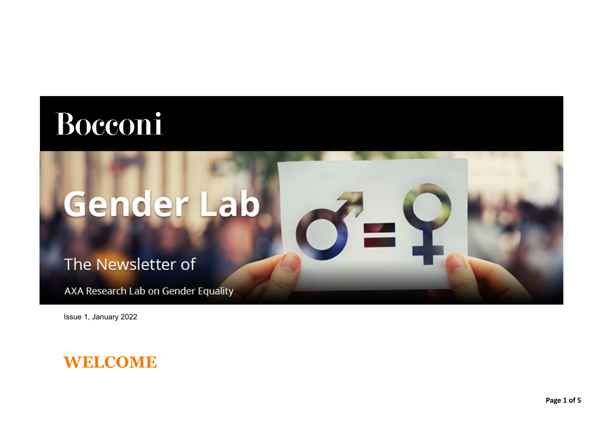## Bocconi

# Gender Lab

 $\bullet$   $\mathbf -$ 

The Newsletter of

AXA Research Lab on Gender Equality

Issue 1, January 2022

## **WELCOME**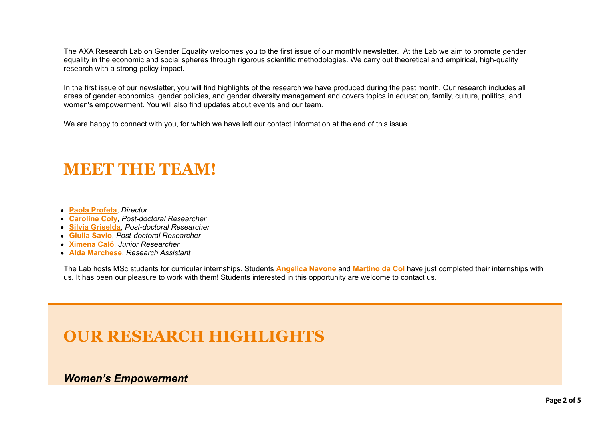The AXA Research Lab on Gender Equality welcomes you to the first issue of our monthly newsletter. At the Lab we aim to promote gender equality in the economic and social spheres through rigorous scientific methodologies. We carry out theoretical and empirical, high-quality research with a strong policy impact.

In the first issue of our newsletter, you will find highlights of the research we have produced during the past month. Our research includes all areas of gender economics, gender policies, and gender diversity management and covers topics in education, family, culture, politics, and women's empowerment. You will also find updates about events and our team.

We are happy to connect with you, for which we have left our contact information at the end of this issue.

## **MEET THE TEAM!**

- **[Paola Profeta](https://genderlab.unibocconi.eu/people/paola-profeta)**, *Director*
- **[Caroline Coly](https://genderlab.unibocconi.eu/people/caroline-coly)**, *Post-doctoral Researcher*
- **[Silvia Griselda](https://genderlab.unibocconi.eu/people/silvia-griselda)**, *Post-doctoral Researcher*
- **[Giulia Savio](https://genderlab.unibocconi.eu/people/giulia-savio)**, *Post-doctoral Researcher*
- **[Ximena Caló](https://genderlab.unibocconi.eu/people/ximena-calo)**, *Junior Researcher*
- **[Alda Marchese](https://genderlab.unibocconi.eu/people/alda-marchese)**, *Research Assistant*

The Lab hosts MSc students for curricular internships. Students **Angelica Navone** and **Martino da Col** have just completed their internships with us. It has been our pleasure to work with them! Students interested in this opportunity are welcome to contact us.

## **OUR RESEARCH HIGHLIGHTS**

*Women's Empowerment*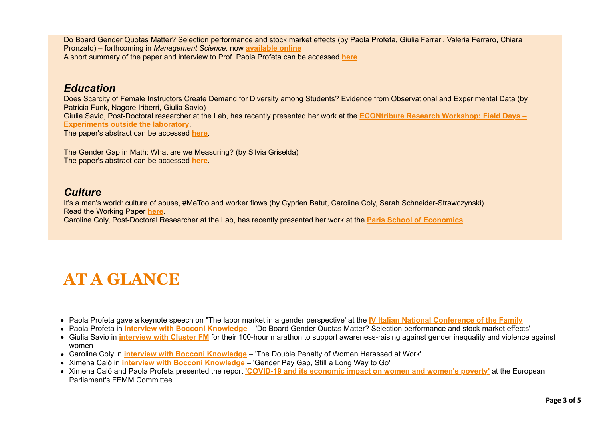Do Board Gender Quotas Matter? Selection performance and stock market effects (by Paola Profeta, Giulia Ferrari, Valeria Ferraro, Chiara Pronzato) – forthcoming in *Management Science,* now **[available online](https://eur03.safelinks.protection.outlook.com/?url=https%3A%2F%2Fpubsonline.informs.org%2Fdoi%2F10.1287%2Fmnsc.2021.4200&data=04%7C01%7Cximena.calo%40unibocconi.it%7C8c53295de17e44f23ebf08d9e4ca5bbf%7C6bf3b57a9fb447c29ada51156518f52f%7C1%7C0%7C637792381394170343%7CUnknown%7CTWFpbGZsb3d8eyJWIjoiMC4wLjAwMDAiLCJQIjoiV2luMzIiLCJBTiI6Ik1haWwiLCJXVCI6Mn0%3D%7C3000&sdata=LiZU66roG8dH7wMsbnhzBXnMLGva1%2BWnt4pdtjpVSr0%3D&reserved=0)** A short summary of the paper and interview to Prof. Paola Profeta can be accessed **[here](https://www.knowledge.unibocconi.eu/notizia.php?idArt=23149)**.

### *Education*

Does Scarcity of Female Instructors Create Demand for Diversity among Students? Evidence from Observational and Experimental Data (by Patricia Funk, Nagore Iriberri, Giulia Savio) [Giulia Savio, Post-Doctoral researcher at the Lab, has recently presented her work at the](https://eur03.safelinks.protection.outlook.com/?url=https%3A%2F%2Fecontribute.de%2Fde%2Fevent%2Fecontribute-research-workshop-field-days%2F&data=04%7C01%7Cximena.calo%40unibocconi.it%7C8c53295de17e44f23ebf08d9e4ca5bbf%7C6bf3b57a9fb447c29ada51156518f52f%7C1%7C0%7C637792381394170343%7CUnknown%7CTWFpbGZsb3d8eyJWIjoiMC4wLjAwMDAiLCJQIjoiV2luMzIiLCJBTiI6Ik1haWwiLCJXVCI6Mn0%3D%7C3000&sdata=9gK3wF%2B%2Fd3srcgkoM19L67hzKDjiyPwjiaTR4ZW8tC8%3D&reserved=0) **ECONtribute Research Workshop: Field Days – Experiments outside the laboratory**. The paper's abstract can be accessed **[here](https://www.dondena.unibocconi.eu/wps/wcm/connect/cdr/dondena/home/working+paper+series/wp_148)**.

The Gender Gap in Math: What are we Measuring? (by Silvia Griselda) The paper's abstract can be accessed **[here](https://genderlab.unibocconi.eu/research/education/gender-gap-math-what-are-we-measuring)**.

### *Culture*

It's a man's world: culture of abuse, #MeToo and worker flows (by Cyprien Batut, Caroline Coly, Sarah Schneider-Strawczynski) Read the Working Paper **[here](https://www.dondena.unibocconi.eu/wps/wcm/connect/50fed6ed-818d-4786-8225-338ec14ac928/WP149.pdf?MOD=AJPERES&CVID=nOp0.D2)**. Caroline Coly, Post-Doctoral Researcher at the Lab, has recently presented her work at the **[Paris School of Economics](https://eur03.safelinks.protection.outlook.com/?url=https%3A%2F%2Fwww.parisschoolofeconomics.eu%2Fen%2Fresearch%2Facademic-activity%2Fseminars%2Fapplied-economics-lunch-s%2F&data=04%7C01%7Cximena.calo%40unibocconi.it%7C8c53295de17e44f23ebf08d9e4ca5bbf%7C6bf3b57a9fb447c29ada51156518f52f%7C1%7C0%7C637792381394170343%7CUnknown%7CTWFpbGZsb3d8eyJWIjoiMC4wLjAwMDAiLCJQIjoiV2luMzIiLCJBTiI6Ik1haWwiLCJXVCI6Mn0%3D%7C3000&sdata=8L1%2BHxXP%2FlBm0EBYX2J%2F2Nczdc0UmfCc4K2qUTLLfrA%3D&reserved=0)**.

## **AT A GLANCE**

- Paola Profeta gave a keynote speech on "The labor market in a gender perspective' at the **[IV Italian National Conference of the Family](https://eur03.safelinks.protection.outlook.com/?url=https%3A%2F%2Ffamiglia.governo.it%2Fit%2Fpolitiche-e-attivita%2Fcomunicazione%2Fnotizie%2Fquarta-conferenza-nazionale-sulla-famiglia-3-e-4-dicembre-2021%2F&data=04%7C01%7Cximena.calo%40unibocconi.it%7C8c53295de17e44f23ebf08d9e4ca5bbf%7C6bf3b57a9fb447c29ada51156518f52f%7C1%7C0%7C637792381394170343%7CUnknown%7CTWFpbGZsb3d8eyJWIjoiMC4wLjAwMDAiLCJQIjoiV2luMzIiLCJBTiI6Ik1haWwiLCJXVCI6Mn0%3D%7C3000&sdata=9I9urY6nhGDw5wNq0lgyuOw%2Fc05cyWRA6N653QJoWQY%3D&reserved=0)**
- Paola Profeta in **[interview with Bocconi Knowledge](https://www.knowledge.unibocconi.eu/notizia.php?idArt=23149)** 'Do Board Gender Quotas Matter? Selection performance and stock market effects'
- Giulia Savio in **[interview with Cluster FM](https://eur03.safelinks.protection.outlook.com/?url=https%3A%2F%2Fwww.mixcloud.com%2FClusterFM%2F100-ore-intervista-a-giulia-savio-axa-research-lab-on-gender-equality%2F&data=04%7C01%7Cximena.calo%40unibocconi.it%7C8c53295de17e44f23ebf08d9e4ca5bbf%7C6bf3b57a9fb447c29ada51156518f52f%7C1%7C0%7C637792381394170343%7CUnknown%7CTWFpbGZsb3d8eyJWIjoiMC4wLjAwMDAiLCJQIjoiV2luMzIiLCJBTiI6Ik1haWwiLCJXVCI6Mn0%3D%7C3000&sdata=2VrkHnkkBZ34xKAhZfZEj4K8gYutmxpOqhGVWxOGpSw%3D&reserved=0)** for their 100-hour marathon to support awareness-raising against gender inequality and violence against women
- Caroline Coly in **[interview with Bocconi Knowledge](file:///C:/Users/Profeta/AppData/Local/Temp/The%20Double%20Penalty%20of%20Women%20Harassed%20at%20Work)** 'The Double Penalty of Women Harassed at Work'
- Ximena Caló in **[interview with Bocconi Knowledge](https://www.knowledge.unibocconi.eu/notizia.php?idArt=23605)** 'Gender Pay Gap, Still a Long Way to Go'
- Ximena Caló and Paola Profeta presented the report **['COVID-19 and its economic impact on women and women's poverty'](https://eur03.safelinks.protection.outlook.com/?url=https%3A%2F%2Fwww.europarl.europa.eu%2FRegData%2Fetudes%2FSTUD%2F2021%2F693183%2FIPOL_STU(2021)693183_EN.pdf&data=04%7C01%7Cximena.calo%40unibocconi.it%7C8c53295de17e44f23ebf08d9e4ca5bbf%7C6bf3b57a9fb447c29ada51156518f52f%7C1%7C0%7C637792381394170343%7CUnknown%7CTWFpbGZsb3d8eyJWIjoiMC4wLjAwMDAiLCJQIjoiV2luMzIiLCJBTiI6Ik1haWwiLCJXVCI6Mn0%3D%7C3000&sdata=x8Fleonlvzn3u1S9VJ8GpRrAuWNpsQTwrbSar51EpOs%3D&reserved=0)** at the European Parliament's FEMM Committee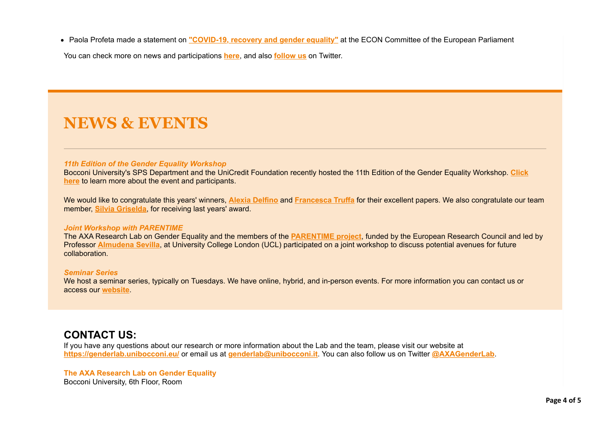Paola Profeta made a statement on **["COVID-19, recovery and gender equality"](https://eur03.safelinks.protection.outlook.com/?url=https%3A%2F%2Fwww.europarl.europa.eu%2Fcommittees%2Fen%2Fpublic-hearing-on-gender-equality-object%2Fproduct-details%2F20211001CHE09401&data=04%7C01%7Cximena.calo%40unibocconi.it%7C8c53295de17e44f23ebf08d9e4ca5bbf%7C6bf3b57a9fb447c29ada51156518f52f%7C1%7C0%7C637792381394170343%7CUnknown%7CTWFpbGZsb3d8eyJWIjoiMC4wLjAwMDAiLCJQIjoiV2luMzIiLCJBTiI6Ik1haWwiLCJXVCI6Mn0%3D%7C3000&sdata=6YSw8xERq%2FSb1F9%2FgNx3YfJxznRNRp3s1ZETCcEw2fY%3D&reserved=0)** at the ECON Committee of the European Parliament

You can check more on news and participations **[here](https://genderlab.unibocconi.eu/news-and-participations)**, and also **[follow us](https://eur03.safelinks.protection.outlook.com/?url=https%3A%2F%2Ftwitter.com%2FAxaGenderLab&data=04%7C01%7Cximena.calo%40unibocconi.it%7C8c53295de17e44f23ebf08d9e4ca5bbf%7C6bf3b57a9fb447c29ada51156518f52f%7C1%7C0%7C637792381394170343%7CUnknown%7CTWFpbGZsb3d8eyJWIjoiMC4wLjAwMDAiLCJQIjoiV2luMzIiLCJBTiI6Ik1haWwiLCJXVCI6Mn0%3D%7C3000&sdata=LJAXyiCv3HsJ8SevdPXo8qttfe1m2w%2FUDht%2BhQk2zFo%3D&reserved=0)** on Twitter.

## **NEWS & EVENTS**

#### *11th Edition of the Gender Equality Workshop*

[Bocconi University's SPS Department and the UniCredit Foundation recently hosted the 11th Edition of the Gender Equality Workshop.](https://genderlab.unibocconi.eu/gender-equality-workshop) **Click here** to learn more about the event and participants.

We would like to congratulate this years' winners, **[Alexia Delfino](https://eur03.safelinks.protection.outlook.com/?url=https%3A%2F%2Fsites.google.com%2Fview%2Falexiadelfino&data=04%7C01%7Cximena.calo%40unibocconi.it%7C8c53295de17e44f23ebf08d9e4ca5bbf%7C6bf3b57a9fb447c29ada51156518f52f%7C1%7C0%7C637792381394170343%7CUnknown%7CTWFpbGZsb3d8eyJWIjoiMC4wLjAwMDAiLCJQIjoiV2luMzIiLCJBTiI6Ik1haWwiLCJXVCI6Mn0%3D%7C3000&sdata=fQDCRkF%2FJjo76ScnmrenJOQEES8g21f%2Fd0WaYCWwb3c%3D&reserved=0)** and **[Francesca Truffa](https://eur03.safelinks.protection.outlook.com/?url=https%3A%2F%2Fwww.francescatruffa.com%2F&data=04%7C01%7Cximena.calo%40unibocconi.it%7C8c53295de17e44f23ebf08d9e4ca5bbf%7C6bf3b57a9fb447c29ada51156518f52f%7C1%7C0%7C637792381394170343%7CUnknown%7CTWFpbGZsb3d8eyJWIjoiMC4wLjAwMDAiLCJQIjoiV2luMzIiLCJBTiI6Ik1haWwiLCJXVCI6Mn0%3D%7C3000&sdata=NmA7T%2FLcprb69bOVizRIHiYTky3%2FnK4XmH3TgSmqd04%3D&reserved=0)** for their excellent papers. We also congratulate our team member, **[Silvia Griselda](https://eur03.safelinks.protection.outlook.com/?url=https%3A%2F%2Fwww.silviagriselda.com%2F&data=04%7C01%7Cximena.calo%40unibocconi.it%7C8c53295de17e44f23ebf08d9e4ca5bbf%7C6bf3b57a9fb447c29ada51156518f52f%7C1%7C0%7C637792381394170343%7CUnknown%7CTWFpbGZsb3d8eyJWIjoiMC4wLjAwMDAiLCJQIjoiV2luMzIiLCJBTiI6Ik1haWwiLCJXVCI6Mn0%3D%7C3000&sdata=aF5j0MDmHhFGQGkfKM6DW%2FAwn5rbwH8T9IPOLzK7GH8%3D&reserved=0)**, for receiving last years' award.

#### *Joint Workshop with PARENTIME*

The AXA Research Lab on Gender Equality and the members of the **[PARENTIME project](https://eur03.safelinks.protection.outlook.com/?url=https%3A%2F%2Ftwitter.com%2FSevilla_Almu%2Fstatus%2F1466352834488766466&data=04%7C01%7Cximena.calo%40unibocconi.it%7C8c53295de17e44f23ebf08d9e4ca5bbf%7C6bf3b57a9fb447c29ada51156518f52f%7C1%7C0%7C637792381394170343%7CUnknown%7CTWFpbGZsb3d8eyJWIjoiMC4wLjAwMDAiLCJQIjoiV2luMzIiLCJBTiI6Ik1haWwiLCJXVCI6Mn0%3D%7C3000&sdata=RPaSFt2AL6XPsiy%2BzEaxlxQzDLTgCzS2t8JSNnAxudY%3D&reserved=0)**, funded by the European Research Council and led by Professor **[Almudena Sevilla](https://eur03.safelinks.protection.outlook.com/?url=https%3A%2F%2Firis.ucl.ac.uk%2Firis%2Fbrowse%2Fprofile%3Fupi%3DASEVI12&data=04%7C01%7Cximena.calo%40unibocconi.it%7C8c53295de17e44f23ebf08d9e4ca5bbf%7C6bf3b57a9fb447c29ada51156518f52f%7C1%7C0%7C637792381394170343%7CUnknown%7CTWFpbGZsb3d8eyJWIjoiMC4wLjAwMDAiLCJQIjoiV2luMzIiLCJBTiI6Ik1haWwiLCJXVCI6Mn0%3D%7C3000&sdata=28I%2F9GsOn3%2F9Hl%2BWMJckKxmn5VXauRBSYu%2BBq4R3CHg%3D&reserved=0)**, at University College London (UCL) participated on a joint workshop to discuss potential avenues for future collaboration.

#### *Seminar Series*

We host a seminar series, typically on Tuesdays. We have online, hybrid, and in-person events. For more information you can contact us or access our **[website](https://genderlab.unibocconi.eu/lab-events)**.

#### **CONTACT US:**

If you have any questions about our research or more information about the Lab and the team, please visit our website at **<https://genderlab.unibocconi.eu/>** or email us at **[genderlab@unibocconi.it](mailto:genderlab@unibocconi.it)**. You can also follow us on Twitter **[@AXAGenderLab](https://eur03.safelinks.protection.outlook.com/?url=https%3A%2F%2Ftwitter.com%2FAxaGenderLab&data=04%7C01%7Cximena.calo%40unibocconi.it%7C8c53295de17e44f23ebf08d9e4ca5bbf%7C6bf3b57a9fb447c29ada51156518f52f%7C1%7C0%7C637792381394170343%7CUnknown%7CTWFpbGZsb3d8eyJWIjoiMC4wLjAwMDAiLCJQIjoiV2luMzIiLCJBTiI6Ik1haWwiLCJXVCI6Mn0%3D%7C3000&sdata=LJAXyiCv3HsJ8SevdPXo8qttfe1m2w%2FUDht%2BhQk2zFo%3D&reserved=0)**.

**The AXA Research Lab on Gender Equality**  Bocconi University, 6th Floor, Room